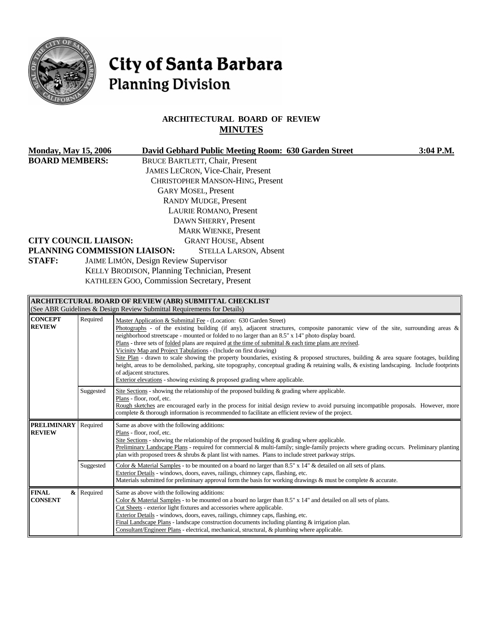

# City of Santa Barbara **Planning Division**

# **ARCHITECTURAL BOARD OF REVIEW MINUTES**

| <b>Monday, May 15, 2006</b>                                |            | David Gebhard Public Meeting Room: 630 Garden Street<br>3:04 P.M.                                                                                                                                        |  |  |  |  |
|------------------------------------------------------------|------------|----------------------------------------------------------------------------------------------------------------------------------------------------------------------------------------------------------|--|--|--|--|
| <b>BOARD MEMBERS:</b>                                      |            | <b>BRUCE BARTLETT, Chair, Present</b><br>JAMES LECRON, Vice-Chair, Present                                                                                                                               |  |  |  |  |
|                                                            |            | CHRISTOPHER MANSON-HING, Present                                                                                                                                                                         |  |  |  |  |
|                                                            |            | <b>GARY MOSEL, Present</b>                                                                                                                                                                               |  |  |  |  |
|                                                            |            | <b>RANDY MUDGE, Present</b>                                                                                                                                                                              |  |  |  |  |
|                                                            |            | LAURIE ROMANO, Present                                                                                                                                                                                   |  |  |  |  |
|                                                            |            | <b>DAWN SHERRY, Present</b>                                                                                                                                                                              |  |  |  |  |
|                                                            |            | <b>MARK WIENKE, Present</b>                                                                                                                                                                              |  |  |  |  |
| <b>GRANT HOUSE, Absent</b><br><b>CITY COUNCIL LIAISON:</b> |            |                                                                                                                                                                                                          |  |  |  |  |
|                                                            |            | PLANNING COMMISSION LIAISON:<br><b>STELLA LARSON, Absent</b>                                                                                                                                             |  |  |  |  |
| <b>STAFF:</b><br>JAIME LIMÓN, Design Review Supervisor     |            |                                                                                                                                                                                                          |  |  |  |  |
| KELLY BRODISON, Planning Technician, Present               |            |                                                                                                                                                                                                          |  |  |  |  |
|                                                            |            | KATHLEEN GOO, Commission Secretary, Present                                                                                                                                                              |  |  |  |  |
|                                                            |            |                                                                                                                                                                                                          |  |  |  |  |
|                                                            |            | ARCHITECTURAL BOARD OF REVIEW (ABR) SUBMITTAL CHECKLIST<br>(See ABR Guidelines & Design Review Submittal Requirements for Details)                                                                       |  |  |  |  |
| <b>CONCEPT</b>                                             | Required   |                                                                                                                                                                                                          |  |  |  |  |
| <b>REVIEW</b>                                              |            | Master Application & Submittal Fee - (Location: 630 Garden Street)<br>Photographs - of the existing building (if any), adjacent structures, composite panoramic view of the site, surrounding areas $\&$ |  |  |  |  |
|                                                            |            | neighborhood streetscape - mounted or folded to no larger than an 8.5" x 14" photo display board.                                                                                                        |  |  |  |  |
|                                                            |            | Plans - three sets of folded plans are required at the time of submittal $\&$ each time plans are revised.<br>Vicinity Map and Project Tabulations - (Include on first drawing)                          |  |  |  |  |
|                                                            |            | Site Plan - drawn to scale showing the property boundaries, existing & proposed structures, building & area square footages, building                                                                    |  |  |  |  |
|                                                            |            | height, areas to be demolished, parking, site topography, conceptual grading & retaining walls, & existing landscaping. Include footprints                                                               |  |  |  |  |
|                                                            |            | of adjacent structures.<br>Exterior elevations - showing existing $\&$ proposed grading where applicable.                                                                                                |  |  |  |  |
|                                                            | Suggested  | Site Sections - showing the relationship of the proposed building $\&$ grading where applicable.                                                                                                         |  |  |  |  |
|                                                            |            | Plans - floor, roof, etc.                                                                                                                                                                                |  |  |  |  |
|                                                            |            | Rough sketches are encouraged early in the process for initial design review to avoid pursuing incompatible proposals. However, more                                                                     |  |  |  |  |
|                                                            |            | complete & thorough information is recommended to facilitate an efficient review of the project.                                                                                                         |  |  |  |  |
| <b>PRELIMINARY</b><br><b>REVIEW</b>                        | Required   | Same as above with the following additions:<br>Plans - floor, roof, etc.                                                                                                                                 |  |  |  |  |
|                                                            |            | Site Sections - showing the relationship of the proposed building & grading where applicable.                                                                                                            |  |  |  |  |
|                                                            |            | Preliminary Landscape Plans - required for commercial & multi-family; single-family projects where grading occurs. Preliminary planting                                                                  |  |  |  |  |
|                                                            |            | plan with proposed trees & shrubs & plant list with names. Plans to include street parkway strips.                                                                                                       |  |  |  |  |
|                                                            | Suggested  | Color & Material Samples - to be mounted on a board no larger than 8.5" x 14" & detailed on all sets of plans.<br>Exterior Details - windows, doors, eaves, railings, chimney caps, flashing, etc.       |  |  |  |  |
|                                                            |            | Materials submitted for preliminary approval form the basis for working drawings $\&$ must be complete $\&$ accurate.                                                                                    |  |  |  |  |
| <b>FINAL</b>                                               | & Required | Same as above with the following additions:                                                                                                                                                              |  |  |  |  |
| <b>CONSENT</b>                                             |            | Color & Material Samples - to be mounted on a board no larger than 8.5" x 14" and detailed on all sets of plans.                                                                                         |  |  |  |  |
|                                                            |            | Cut Sheets - exterior light fixtures and accessories where applicable.                                                                                                                                   |  |  |  |  |
|                                                            |            | Exterior Details - windows, doors, eaves, railings, chimney caps, flashing, etc.<br>Final Landscape Plans - landscape construction documents including planting & irrigation plan.                       |  |  |  |  |
|                                                            |            | Consultant/Engineer Plans - electrical, mechanical, structural, & plumbing where applicable.                                                                                                             |  |  |  |  |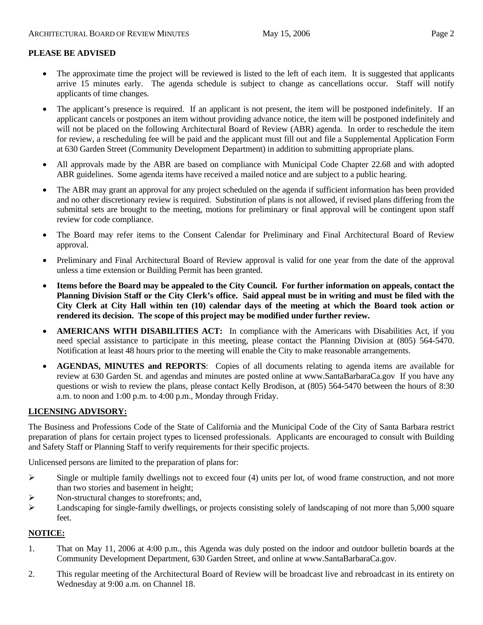## **PLEASE BE ADVISED**

- The approximate time the project will be reviewed is listed to the left of each item. It is suggested that applicants arrive 15 minutes early. The agenda schedule is subject to change as cancellations occur. Staff will notify applicants of time changes.
- The applicant's presence is required. If an applicant is not present, the item will be postponed indefinitely. If an applicant cancels or postpones an item without providing advance notice, the item will be postponed indefinitely and will not be placed on the following Architectural Board of Review (ABR) agenda. In order to reschedule the item for review, a rescheduling fee will be paid and the applicant must fill out and file a Supplemental Application Form at 630 Garden Street (Community Development Department) in addition to submitting appropriate plans.
- All approvals made by the ABR are based on compliance with Municipal Code Chapter 22.68 and with adopted ABR guidelines. Some agenda items have received a mailed notice and are subject to a public hearing.
- The ABR may grant an approval for any project scheduled on the agenda if sufficient information has been provided and no other discretionary review is required. Substitution of plans is not allowed, if revised plans differing from the submittal sets are brought to the meeting, motions for preliminary or final approval will be contingent upon staff review for code compliance.
- The Board may refer items to the Consent Calendar for Preliminary and Final Architectural Board of Review approval.
- Preliminary and Final Architectural Board of Review approval is valid for one year from the date of the approval unless a time extension or Building Permit has been granted.
- **Items before the Board may be appealed to the City Council. For further information on appeals, contact the Planning Division Staff or the City Clerk's office. Said appeal must be in writing and must be filed with the City Clerk at City Hall within ten (10) calendar days of the meeting at which the Board took action or rendered its decision. The scope of this project may be modified under further review.**
- **AMERICANS WITH DISABILITIES ACT:** In compliance with the Americans with Disabilities Act, if you need special assistance to participate in this meeting, please contact the Planning Division at (805) 564-5470. Notification at least 48 hours prior to the meeting will enable the City to make reasonable arrangements.
- **AGENDAS, MINUTES and REPORTS**: Copies of all documents relating to agenda items are available for review at 630 Garden St. and agendas and minutes are posted online at [www.SantaBarbaraCa.gov](http://www.santabarbaraca.gov/) If you have any questions or wish to review the plans, please contact Kelly Brodison, at (805) 564-5470 between the hours of 8:30 a.m. to noon and 1:00 p.m. to 4:00 p.m., Monday through Friday.

#### **LICENSING ADVISORY:**

The Business and Professions Code of the State of California and the Municipal Code of the City of Santa Barbara restrict preparation of plans for certain project types to licensed professionals. Applicants are encouraged to consult with Building and Safety Staff or Planning Staff to verify requirements for their specific projects.

Unlicensed persons are limited to the preparation of plans for:

- ¾ Single or multiple family dwellings not to exceed four (4) units per lot, of wood frame construction, and not more than two stories and basement in height;
- ¾ Non-structural changes to storefronts; and,
- ¾ Landscaping for single-family dwellings, or projects consisting solely of landscaping of not more than 5,000 square feet.

#### **NOTICE:**

- 1. That on May 11, 2006 at 4:00 p.m., this Agenda was duly posted on the indoor and outdoor bulletin boards at the Community Development Department, 630 Garden Street, and online at www.SantaBarbaraCa.gov.
- 2. This regular meeting of the Architectural Board of Review will be broadcast live and rebroadcast in its entirety on Wednesday at 9:00 a.m. on Channel 18.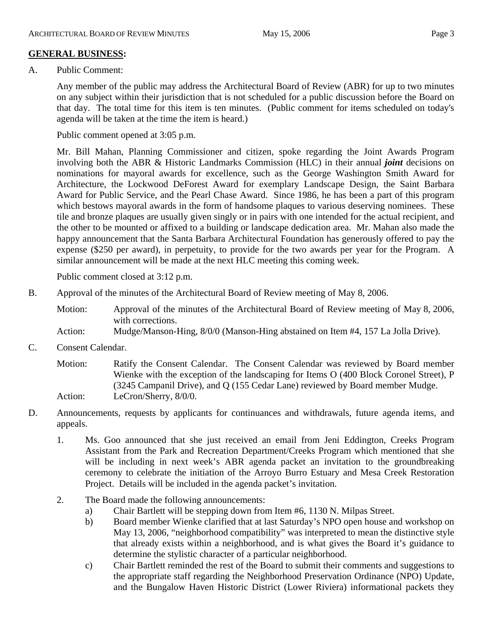# **GENERAL BUSINESS:**

A. Public Comment:

Any member of the public may address the Architectural Board of Review (ABR) for up to two minutes on any subject within their jurisdiction that is not scheduled for a public discussion before the Board on that day. The total time for this item is ten minutes. (Public comment for items scheduled on today's agenda will be taken at the time the item is heard.)

Public comment opened at 3:05 p.m.

Mr. Bill Mahan, Planning Commissioner and citizen, spoke regarding the Joint Awards Program involving both the ABR & Historic Landmarks Commission (HLC) in their annual *joint* decisions on nominations for mayoral awards for excellence, such as the George Washington Smith Award for Architecture, the Lockwood DeForest Award for exemplary Landscape Design, the Saint Barbara Award for Public Service, and the Pearl Chase Award. Since 1986, he has been a part of this program which bestows mayoral awards in the form of handsome plaques to various deserving nominees. These tile and bronze plaques are usually given singly or in pairs with one intended for the actual recipient, and the other to be mounted or affixed to a building or landscape dedication area. Mr. Mahan also made the happy announcement that the Santa Barbara Architectural Foundation has generously offered to pay the expense (\$250 per award), in perpetuity, to provide for the two awards per year for the Program. A similar announcement will be made at the next HLC meeting this coming week.

Public comment closed at 3:12 p.m.

B. Approval of the minutes of the Architectural Board of Review meeting of May 8, 2006.

Motion: Approval of the minutes of the Architectural Board of Review meeting of May 8, 2006, with corrections.

- Action: Mudge/Manson-Hing, 8/0/0 (Manson-Hing abstained on Item #4, 157 La Jolla Drive).
- C. Consent Calendar.

Motion: Ratify the Consent Calendar. The Consent Calendar was reviewed by Board member Wienke with the exception of the landscaping for Items O (400 Block Coronel Street), P (3245 Campanil Drive), and Q (155 Cedar Lane) reviewed by Board member Mudge. Action: LeCron/Sherry,  $8/0/0$ .

- D. Announcements, requests by applicants for continuances and withdrawals, future agenda items, and appeals.
	- 1. Ms. Goo announced that she just received an email from Jeni Eddington, Creeks Program Assistant from the Park and Recreation Department/Creeks Program which mentioned that she will be including in next week's ABR agenda packet an invitation to the groundbreaking ceremony to celebrate the initiation of the Arroyo Burro Estuary and Mesa Creek Restoration Project. Details will be included in the agenda packet's invitation.
	- 2. The Board made the following announcements:
		- a) Chair Bartlett will be stepping down from Item #6, 1130 N. Milpas Street.
		- b) Board member Wienke clarified that at last Saturday's NPO open house and workshop on May 13, 2006, "neighborhood compatibility" was interpreted to mean the distinctive style that already exists within a neighborhood, and is what gives the Board it's guidance to determine the stylistic character of a particular neighborhood.
		- c) Chair Bartlett reminded the rest of the Board to submit their comments and suggestions to the appropriate staff regarding the Neighborhood Preservation Ordinance (NPO) Update, and the Bungalow Haven Historic District (Lower Riviera) informational packets they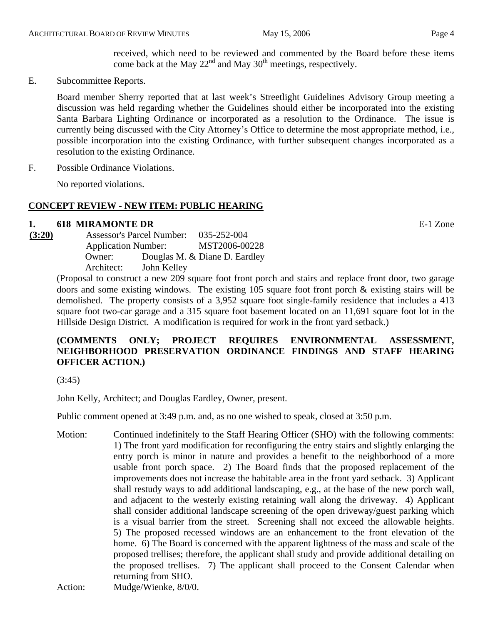received, which need to be reviewed and commented by the Board before these items come back at the May  $22<sup>nd</sup>$  and May  $30<sup>th</sup>$  meetings, respectively.

E. Subcommittee Reports.

Board member Sherry reported that at last week's Streetlight Guidelines Advisory Group meeting a discussion was held regarding whether the Guidelines should either be incorporated into the existing Santa Barbara Lighting Ordinance or incorporated as a resolution to the Ordinance. The issue is currently being discussed with the City Attorney's Office to determine the most appropriate method, i.e., possible incorporation into the existing Ordinance, with further subsequent changes incorporated as a resolution to the existing Ordinance.

F. Possible Ordinance Violations.

No reported violations.

## **CONCEPT REVIEW - NEW ITEM: PUBLIC HEARING**

#### **1. 618 MIRAMONTE DR** E-1 Zone

**(3:20)** Assessor's Parcel Number: 035-252-004 Application Number: MST2006-00228 Owner: Douglas M. & Diane D. Eardley Architect: John Kelley

(Proposal to construct a new 209 square foot front porch and stairs and replace front door, two garage doors and some existing windows. The existing 105 square foot front porch & existing stairs will be demolished. The property consists of a 3,952 square foot single-family residence that includes a 413 square foot two-car garage and a 315 square foot basement located on an 11,691 square foot lot in the Hillside Design District. A modification is required for work in the front yard setback.)

# **(COMMENTS ONLY; PROJECT REQUIRES ENVIRONMENTAL ASSESSMENT, NEIGHBORHOOD PRESERVATION ORDINANCE FINDINGS AND STAFF HEARING OFFICER ACTION.)**

(3:45)

John Kelly, Architect; and Douglas Eardley, Owner, present.

Public comment opened at 3:49 p.m. and, as no one wished to speak, closed at 3:50 p.m.

Motion: Continued indefinitely to the Staff Hearing Officer (SHO) with the following comments: 1) The front yard modification for reconfiguring the entry stairs and slightly enlarging the entry porch is minor in nature and provides a benefit to the neighborhood of a more usable front porch space. 2) The Board finds that the proposed replacement of the improvements does not increase the habitable area in the front yard setback. 3) Applicant shall restudy ways to add additional landscaping, e.g., at the base of the new porch wall, and adjacent to the westerly existing retaining wall along the driveway. 4) Applicant shall consider additional landscape screening of the open driveway/guest parking which is a visual barrier from the street. Screening shall not exceed the allowable heights. 5) The proposed recessed windows are an enhancement to the front elevation of the home. 6) The Board is concerned with the apparent lightness of the mass and scale of the proposed trellises; therefore, the applicant shall study and provide additional detailing on the proposed trellises. 7) The applicant shall proceed to the Consent Calendar when returning from SHO.

Action: Mudge/Wienke, 8/0/0.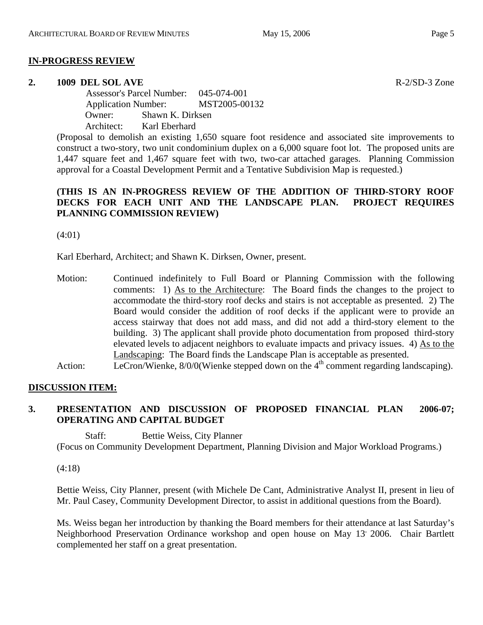#### **IN-PROGRESS REVIEW**

#### **2. 1009 DEL SOL AVE R-2/SD-3 Zone**

 Assessor's Parcel Number: 045-074-001 Application Number: MST2005-00132 Owner: Shawn K. Dirksen Architect: Karl Eberhard

(Proposal to demolish an existing 1,650 square foot residence and associated site improvements to construct a two-story, two unit condominium duplex on a 6,000 square foot lot. The proposed units are 1,447 square feet and 1,467 square feet with two, two-car attached garages. Planning Commission approval for a Coastal Development Permit and a Tentative Subdivision Map is requested.)

## **(THIS IS AN IN-PROGRESS REVIEW OF THE ADDITION OF THIRD-STORY ROOF DECKS FOR EACH UNIT AND THE LANDSCAPE PLAN. PROJECT REQUIRES PLANNING COMMISSION REVIEW)**

(4:01)

Karl Eberhard, Architect; and Shawn K. Dirksen, Owner, present.

- Motion: Continued indefinitely to Full Board or Planning Commission with the following comments: 1) As to the Architecture: The Board finds the changes to the project to accommodate the third-story roof decks and stairs is not acceptable as presented. 2) The Board would consider the addition of roof decks if the applicant were to provide an access stairway that does not add mass, and did not add a third-story element to the building. 3) The applicant shall provide photo documentation from proposed third-story elevated levels to adjacent neighbors to evaluate impacts and privacy issues. 4) As to the Landscaping: The Board finds the Landscape Plan is acceptable as presented.
- Action: LeCron/Wienke,  $8/0/0$  (Wienke stepped down on the  $4<sup>th</sup>$  comment regarding landscaping).

# **DISCUSSION ITEM:**

# **3. PRESENTATION AND DISCUSSION OF PROPOSED FINANCIAL PLAN 2006-07; OPERATING AND CAPITAL BUDGET**

Staff: Bettie Weiss, City Planner (Focus on Community Development Department, Planning Division and Major Workload Programs.)

(4:18)

Bettie Weiss, City Planner, present (with Michele De Cant, Administrative Analyst II, present in lieu of Mr. Paul Casey, Community Development Director, to assist in additional questions from the Board).

Ms. Weiss began her introduction by thanking the Board members for their attendance at last Saturday's Neighborhood Preservation Ordinance workshop and open house on May 13 2006. Chair Bartlett complemented her staff on a great presentation.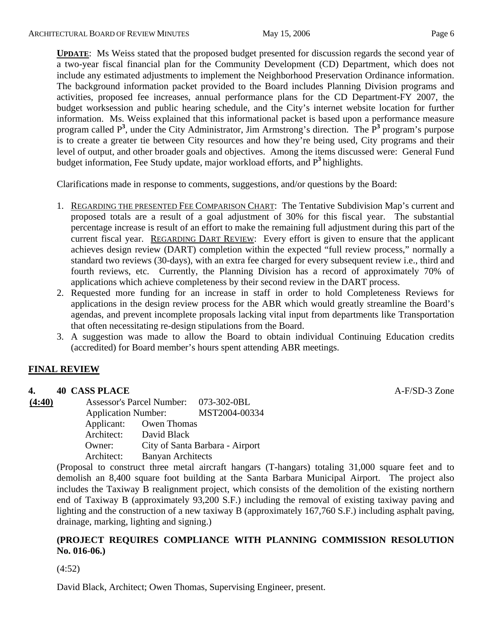**UPDATE**: Ms Weiss stated that the proposed budget presented for discussion regards the second year of a two-year fiscal financial plan for the Community Development (CD) Department, which does not include any estimated adjustments to implement the Neighborhood Preservation Ordinance information. The background information packet provided to the Board includes Planning Division programs and activities, proposed fee increases, annual performance plans for the CD Department-FY 2007, the budget worksession and public hearing schedule, and the City's internet website location for further information. Ms. Weiss explained that this informational packet is based upon a performance measure program called P<sup>3</sup>, under the City Administrator, Jim Armstrong's direction. The P<sup>3</sup> program's purpose is to create a greater tie between City resources and how they're being used, City programs and their level of output, and other broader goals and objectives. Among the items discussed were: General Fund budget information, Fee Study update, major workload efforts, and P**<sup>3</sup>**highlights.

Clarifications made in response to comments, suggestions, and/or questions by the Board:

- 1. REGARDING THE PRESENTED FEE COMPARISON CHART: The Tentative Subdivision Map's current and proposed totals are a result of a goal adjustment of 30% for this fiscal year. The substantial percentage increase is result of an effort to make the remaining full adjustment during this part of the current fiscal year. REGARDING DART REVIEW: Every effort is given to ensure that the applicant achieves design review (DART) completion within the expected "full review process," normally a standard two reviews (30-days), with an extra fee charged for every subsequent review i.e., third and fourth reviews, etc. Currently, the Planning Division has a record of approximately 70% of applications which achieve completeness by their second review in the DART process.
- 2. Requested more funding for an increase in staff in order to hold Completeness Reviews for applications in the design review process for the ABR which would greatly streamline the Board's agendas, and prevent incomplete proposals lacking vital input from departments like Transportation that often necessitating re-design stipulations from the Board.
- 3. A suggestion was made to allow the Board to obtain individual Continuing Education credits (accredited) for Board member's hours spent attending ABR meetings.

# **FINAL REVIEW**

#### **4. 40 CASS PLACE A-F/SD-3** Zone

**(4:40)** Assessor's Parcel Number: 073-302-0BL Application Number: MST2004-00334 Applicant: Owen Thomas Architect: David Black Owner: City of Santa Barbara - Airport Architect: Banyan Architects

> (Proposal to construct three metal aircraft hangars (T-hangars) totaling 31,000 square feet and to demolish an 8,400 square foot building at the Santa Barbara Municipal Airport. The project also includes the Taxiway B realignment project, which consists of the demolition of the existing northern end of Taxiway B (approximately 93,200 S.F.) including the removal of existing taxiway paving and lighting and the construction of a new taxiway B (approximately 167,760 S.F.) including asphalt paving, drainage, marking, lighting and signing.)

# **(PROJECT REQUIRES COMPLIANCE WITH PLANNING COMMISSION RESOLUTION No. 016-06.)**

(4:52)

David Black, Architect; Owen Thomas, Supervising Engineer, present.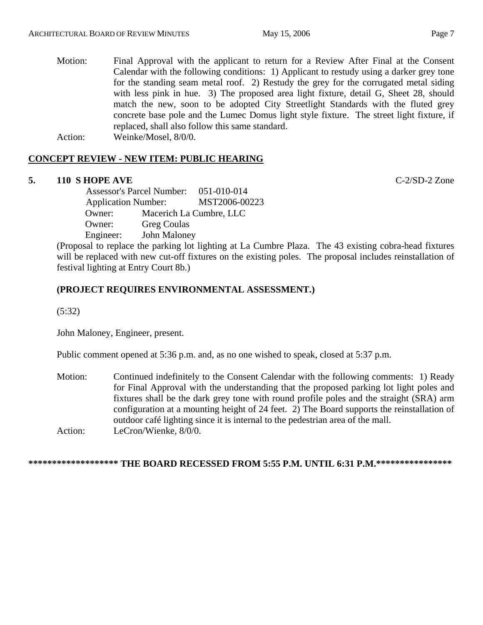Motion: Final Approval with the applicant to return for a Review After Final at the Consent Calendar with the following conditions: 1) Applicant to restudy using a darker grey tone for the standing seam metal roof. 2) Restudy the grey for the corrugated metal siding with less pink in hue. 3) The proposed area light fixture, detail G, Sheet 28, should match the new, soon to be adopted City Streetlight Standards with the fluted grey concrete base pole and the Lumec Domus light style fixture. The street light fixture, if replaced, shall also follow this same standard.

Action: Weinke/Mosel, 8/0/0.

# **CONCEPT REVIEW - NEW ITEM: PUBLIC HEARING**

# **5. 110 S HOPE AVE** C-2/SD-2 Zone

 Assessor's Parcel Number: 051-010-014 Application Number: MST2006-00223 Owner: Macerich La Cumbre, LLC Owner: Greg Coulas Engineer: John Maloney

(Proposal to replace the parking lot lighting at La Cumbre Plaza. The 43 existing cobra-head fixtures will be replaced with new cut-off fixtures on the existing poles. The proposal includes reinstallation of festival lighting at Entry Court 8b.)

# **(PROJECT REQUIRES ENVIRONMENTAL ASSESSMENT.)**

(5:32)

John Maloney, Engineer, present.

Public comment opened at 5:36 p.m. and, as no one wished to speak, closed at 5:37 p.m.

Motion: Continued indefinitely to the Consent Calendar with the following comments: 1) Ready for Final Approval with the understanding that the proposed parking lot light poles and fixtures shall be the dark grey tone with round profile poles and the straight (SRA) arm configuration at a mounting height of 24 feet. 2) The Board supports the reinstallation of outdoor café lighting since it is internal to the pedestrian area of the mall. Action: LeCron/Wienke, 8/0/0.

#### **\*\*\*\*\*\*\*\*\*\*\*\*\*\*\*\*\*\*\* THE BOARD RECESSED FROM 5:55 P.M. UNTIL 6:31 P.M.\*\*\*\*\*\*\*\*\*\*\*\*\*\*\*\***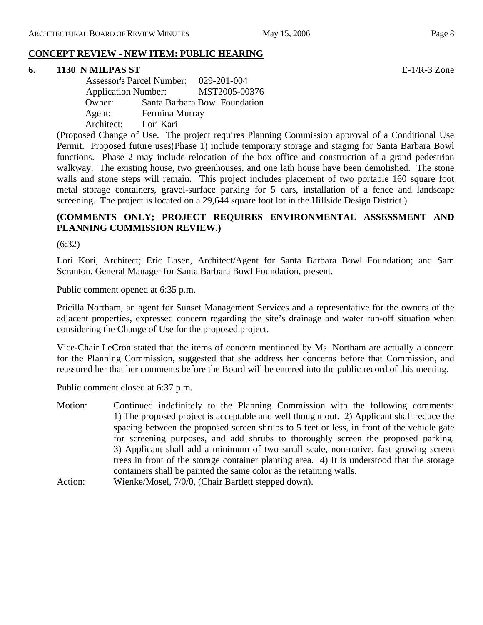#### **6. 1130 N MILPAS ST** E-1/R-3 Zone

 Assessor's Parcel Number: 029-201-004 Application Number: MST2005-00376 Owner: Santa Barbara Bowl Foundation Agent: Fermina Murray Architect: Lori Kari

(Proposed Change of Use. The project requires Planning Commission approval of a Conditional Use Permit. Proposed future uses(Phase 1) include temporary storage and staging for Santa Barbara Bowl functions. Phase 2 may include relocation of the box office and construction of a grand pedestrian walkway. The existing house, two greenhouses, and one lath house have been demolished. The stone walls and stone steps will remain. This project includes placement of two portable 160 square foot metal storage containers, gravel-surface parking for 5 cars, installation of a fence and landscape screening. The project is located on a 29,644 square foot lot in the Hillside Design District.)

# **(COMMENTS ONLY; PROJECT REQUIRES ENVIRONMENTAL ASSESSMENT AND PLANNING COMMISSION REVIEW.)**

(6:32)

Lori Kori, Architect; Eric Lasen, Architect/Agent for Santa Barbara Bowl Foundation; and Sam Scranton, General Manager for Santa Barbara Bowl Foundation, present.

Public comment opened at 6:35 p.m.

Pricilla Northam, an agent for Sunset Management Services and a representative for the owners of the adjacent properties, expressed concern regarding the site's drainage and water run-off situation when considering the Change of Use for the proposed project.

Vice-Chair LeCron stated that the items of concern mentioned by Ms. Northam are actually a concern for the Planning Commission, suggested that she address her concerns before that Commission, and reassured her that her comments before the Board will be entered into the public record of this meeting.

Public comment closed at 6:37 p.m.

- Motion: Continued indefinitely to the Planning Commission with the following comments: 1) The proposed project is acceptable and well thought out. 2) Applicant shall reduce the spacing between the proposed screen shrubs to 5 feet or less, in front of the vehicle gate for screening purposes, and add shrubs to thoroughly screen the proposed parking. 3) Applicant shall add a minimum of two small scale, non-native, fast growing screen trees in front of the storage container planting area. 4) It is understood that the storage containers shall be painted the same color as the retaining walls.
- Action: Wienke/Mosel, 7/0/0, (Chair Bartlett stepped down).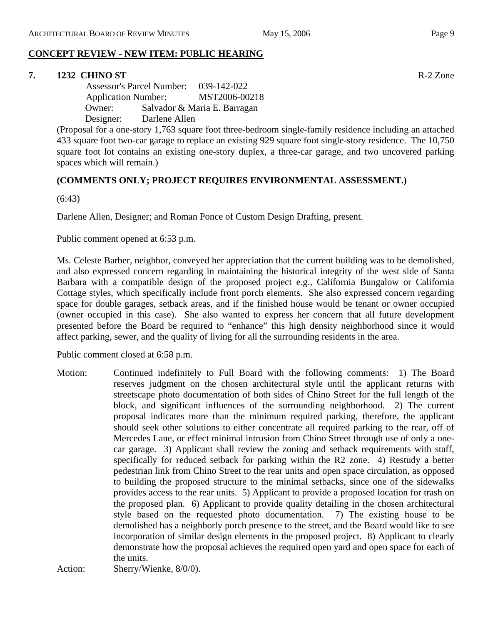#### **CONCEPT REVIEW - NEW ITEM: PUBLIC HEARING**

#### **7. 1232 CHINO ST** R-2 Zone

 Assessor's Parcel Number: 039-142-022 Application Number: MST2006-00218 Owner: Salvador & Maria E. Barragan Designer: Darlene Allen

(Proposal for a one-story 1,763 square foot three-bedroom single-family residence including an attached 433 square foot two-car garage to replace an existing 929 square foot single-story residence. The 10,750 square foot lot contains an existing one-story duplex, a three-car garage, and two uncovered parking spaces which will remain.)

## **(COMMENTS ONLY; PROJECT REQUIRES ENVIRONMENTAL ASSESSMENT.)**

(6:43)

Darlene Allen, Designer; and Roman Ponce of Custom Design Drafting, present.

Public comment opened at 6:53 p.m.

Ms. Celeste Barber, neighbor, conveyed her appreciation that the current building was to be demolished, and also expressed concern regarding in maintaining the historical integrity of the west side of Santa Barbara with a compatible design of the proposed project e.g., California Bungalow or California Cottage styles, which specifically include front porch elements. She also expressed concern regarding space for double garages, setback areas, and if the finished house would be tenant or owner occupied (owner occupied in this case). She also wanted to express her concern that all future development presented before the Board be required to "enhance" this high density neighborhood since it would affect parking, sewer, and the quality of living for all the surrounding residents in the area.

Public comment closed at 6:58 p.m.

Motion: Continued indefinitely to Full Board with the following comments: 1) The Board reserves judgment on the chosen architectural style until the applicant returns with streetscape photo documentation of both sides of Chino Street for the full length of the block, and significant influences of the surrounding neighborhood. 2) The current proposal indicates more than the minimum required parking, therefore, the applicant should seek other solutions to either concentrate all required parking to the rear, off of Mercedes Lane, or effect minimal intrusion from Chino Street through use of only a onecar garage. 3) Applicant shall review the zoning and setback requirements with staff, specifically for reduced setback for parking within the R2 zone. 4) Restudy a better pedestrian link from Chino Street to the rear units and open space circulation, as opposed to building the proposed structure to the minimal setbacks, since one of the sidewalks provides access to the rear units. 5) Applicant to provide a proposed location for trash on the proposed plan. 6) Applicant to provide quality detailing in the chosen architectural style based on the requested photo documentation. 7) The existing house to be demolished has a neighborly porch presence to the street, and the Board would like to see incorporation of similar design elements in the proposed project. 8) Applicant to clearly demonstrate how the proposal achieves the required open yard and open space for each of the units.

Action: Sherry/Wienke, 8/0/0).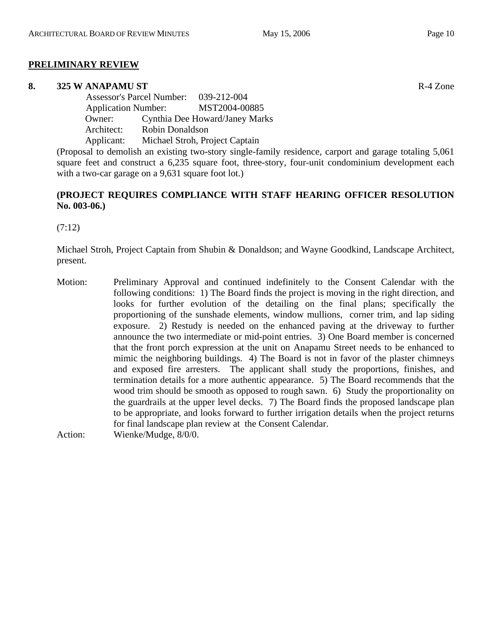#### **PRELIMINARY REVIEW**

#### **8. 325 W ANAPAMU ST** R-4 Zone

 Assessor's Parcel Number: 039-212-004 Application Number: MST2004-00885 Owner: Cynthia Dee Howard/Janey Marks Architect: Robin Donaldson Applicant: Michael Stroh, Project Captain

(Proposal to demolish an existing two-story single-family residence, carport and garage totaling 5,061 square feet and construct a 6,235 square foot, three-story, four-unit condominium development each with a two-car garage on a 9,631 square foot lot.)

## **(PROJECT REQUIRES COMPLIANCE WITH STAFF HEARING OFFICER RESOLUTION No. 003-06.)**

(7:12)

Michael Stroh, Project Captain from Shubin & Donaldson; and Wayne Goodkind, Landscape Architect, present.

Motion: Preliminary Approval and continued indefinitely to the Consent Calendar with the following conditions: 1) The Board finds the project is moving in the right direction, and looks for further evolution of the detailing on the final plans; specifically the proportioning of the sunshade elements, window mullions, corner trim, and lap siding exposure. 2) Restudy is needed on the enhanced paving at the driveway to further announce the two intermediate or mid-point entries. 3) One Board member is concerned that the front porch expression at the unit on Anapamu Street needs to be enhanced to mimic the neighboring buildings. 4) The Board is not in favor of the plaster chimneys and exposed fire arresters. The applicant shall study the proportions, finishes, and termination details for a more authentic appearance. 5) The Board recommends that the wood trim should be smooth as opposed to rough sawn. 6) Study the proportionality on the guardrails at the upper level decks. 7) The Board finds the proposed landscape plan to be appropriate, and looks forward to further irrigation details when the project returns for final landscape plan review at the Consent Calendar.

Action: Wienke/Mudge, 8/0/0.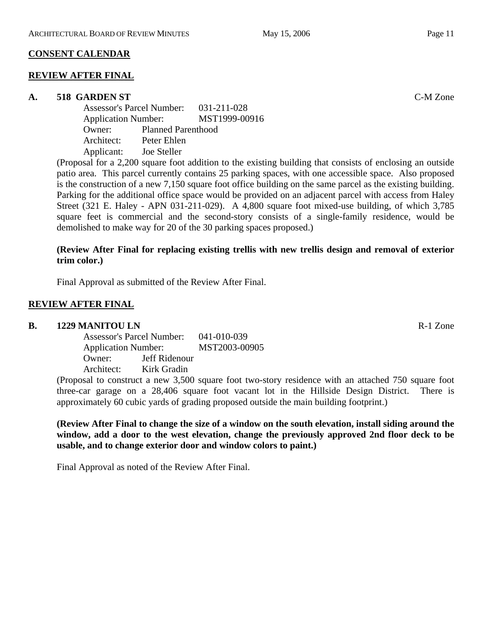## **CONSENT CALENDAR**

#### **REVIEW AFTER FINAL**

#### **A. 518 GARDEN ST** C-M Zone

Assessor's Parcel Number: 031-211-028 Application Number: MST1999-00916 Owner: Planned Parenthood Architect: Peter Ehlen Applicant: Joe Steller

(Proposal for a 2,200 square foot addition to the existing building that consists of enclosing an outside patio area. This parcel currently contains 25 parking spaces, with one accessible space. Also proposed is the construction of a new 7,150 square foot office building on the same parcel as the existing building. Parking for the additional office space would be provided on an adjacent parcel with access from Haley Street (321 E. Haley - APN 031-211-029). A 4,800 square foot mixed-use building, of which 3,785 square feet is commercial and the second-story consists of a single-family residence, would be demolished to make way for 20 of the 30 parking spaces proposed.)

#### **(Review After Final for replacing existing trellis with new trellis design and removal of exterior trim color.)**

Final Approval as submitted of the Review After Final.

## **REVIEW AFTER FINAL**

#### **B.** 1229 MANITOU LN **R-1** Zone

Assessor's Parcel Number: 041-010-039 Application Number: MST2003-00905 Owner: Jeff Ridenour Architect: Kirk Gradin

(Proposal to construct a new 3,500 square foot two-story residence with an attached 750 square foot three-car garage on a 28,406 square foot vacant lot in the Hillside Design District. There is approximately 60 cubic yards of grading proposed outside the main building footprint.)

**(Review After Final to change the size of a window on the south elevation, install siding around the window, add a door to the west elevation, change the previously approved 2nd floor deck to be usable, and to change exterior door and window colors to paint.)** 

Final Approval as noted of the Review After Final.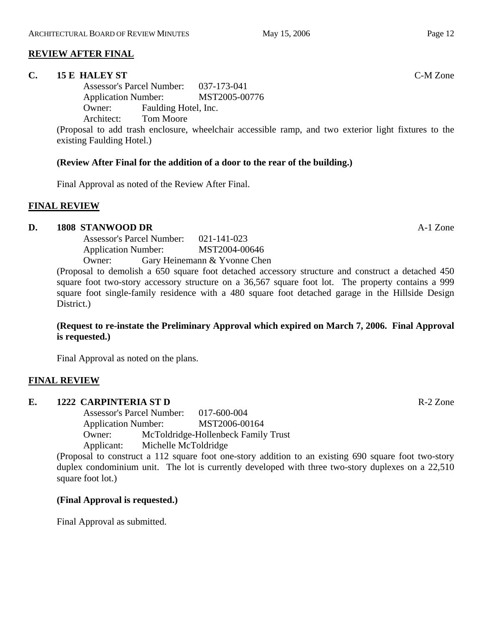# **REVIEW AFTER FINAL**

#### **C. 15 E HALEY ST** C-M Zone

Assessor's Parcel Number: 037-173-041 Application Number: MST2005-00776 Owner: Faulding Hotel, Inc. Architect: Tom Moore

(Proposal to add trash enclosure, wheelchair accessible ramp, and two exterior light fixtures to the existing Faulding Hotel.)

#### **(Review After Final for the addition of a door to the rear of the building.)**

Final Approval as noted of the Review After Final.

#### **FINAL REVIEW**

#### **D. 1808 STANWOOD DR** A-1 Zone

Assessor's Parcel Number: 021-141-023 Application Number: MST2004-00646 Owner: Gary Heinemann & Yvonne Chen

(Proposal to demolish a 650 square foot detached accessory structure and construct a detached 450 square foot two-story accessory structure on a 36,567 square foot lot. The property contains a 999 square foot single-family residence with a 480 square foot detached garage in the Hillside Design District.)

#### **(Request to re-instate the Preliminary Approval which expired on March 7, 2006. Final Approval is requested.)**

Final Approval as noted on the plans.

#### **FINAL REVIEW**

#### **E. 1222 CARPINTERIA ST D** R-2 Zone

Assessor's Parcel Number: 017-600-004 Application Number: MST2006-00164 Owner: McToldridge-Hollenbeck Family Trust Applicant: Michelle McToldridge

(Proposal to construct a 112 square foot one-story addition to an existing 690 square foot two-story duplex condominium unit. The lot is currently developed with three two-story duplexes on a 22,510 square foot lot.)

#### **(Final Approval is requested.)**

Final Approval as submitted.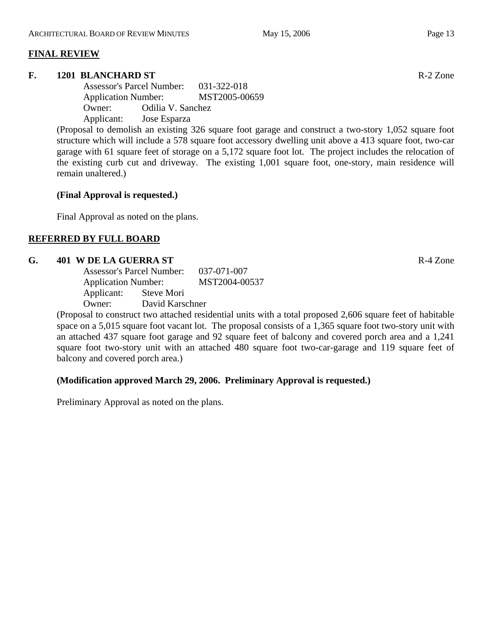#### **FINAL REVIEW**

#### **F. 1201 BLANCHARD ST** R-2 Zone

Assessor's Parcel Number: 031-322-018 Application Number: MST2005-00659 Owner: Odilia V. Sanchez Applicant: Jose Esparza

(Proposal to demolish an existing 326 square foot garage and construct a two-story 1,052 square foot structure which will include a 578 square foot accessory dwelling unit above a 413 square foot, two-car garage with 61 square feet of storage on a 5,172 square foot lot. The project includes the relocation of the existing curb cut and driveway. The existing 1,001 square foot, one-story, main residence will remain unaltered.)

## **(Final Approval is requested.)**

Final Approval as noted on the plans.

# **REFERRED BY FULL BOARD**

#### **G.** 401 W DE LA GUERRA ST **R-4** Zone

|                            | <b>Assessor's Parcel Number:</b> |                 |  |
|----------------------------|----------------------------------|-----------------|--|
| <b>Application Number:</b> |                                  | MST2004-00537   |  |
| Applicant:                 | Steve Mori                       |                 |  |
| Owner:                     |                                  | David Karschner |  |

(Proposal to construct two attached residential units with a total proposed 2,606 square feet of habitable space on a 5,015 square foot vacant lot. The proposal consists of a 1,365 square foot two-story unit with an attached 437 square foot garage and 92 square feet of balcony and covered porch area and a 1,241 square foot two-story unit with an attached 480 square foot two-car-garage and 119 square feet of balcony and covered porch area.)

# **(Modification approved March 29, 2006. Preliminary Approval is requested.)**

Preliminary Approval as noted on the plans.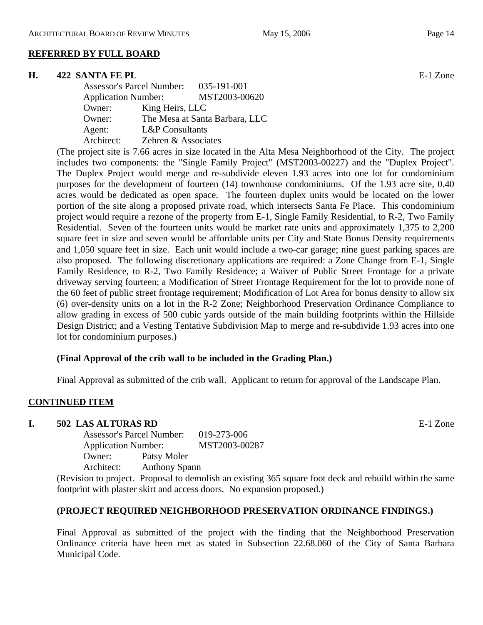#### **REFERRED BY FULL BOARD**

#### **H. 422 SANTA FE PL BE-1 Zone**

| <b>Assessor's Parcel Number:</b> | 035-191-001                    |
|----------------------------------|--------------------------------|
| <b>Application Number:</b>       | MST2003-00620                  |
| Owner:                           | King Heirs, LLC                |
| Owner:                           | The Mesa at Santa Barbara, LLC |
| Agent:                           | <b>L&amp;P</b> Consultants     |
| Architect:                       | Zehren & Associates            |

(The project site is 7.66 acres in size located in the Alta Mesa Neighborhood of the City. The project includes two components: the "Single Family Project" (MST2003-00227) and the "Duplex Project". The Duplex Project would merge and re-subdivide eleven 1.93 acres into one lot for condominium purposes for the development of fourteen (14) townhouse condominiums. Of the 1.93 acre site, 0.40 acres would be dedicated as open space. The fourteen duplex units would be located on the lower portion of the site along a proposed private road, which intersects Santa Fe Place. This condominium project would require a rezone of the property from E-1, Single Family Residential, to R-2, Two Family Residential. Seven of the fourteen units would be market rate units and approximately 1,375 to 2,200 square feet in size and seven would be affordable units per City and State Bonus Density requirements and 1,050 square feet in size. Each unit would include a two-car garage; nine guest parking spaces are also proposed. The following discretionary applications are required: a Zone Change from E-1, Single Family Residence, to R-2, Two Family Residence; a Waiver of Public Street Frontage for a private driveway serving fourteen; a Modification of Street Frontage Requirement for the lot to provide none of the 60 feet of public street frontage requirement; Modification of Lot Area for bonus density to allow six (6) over-density units on a lot in the R-2 Zone; Neighborhood Preservation Ordinance Compliance to allow grading in excess of 500 cubic yards outside of the main building footprints within the Hillside Design District; and a Vesting Tentative Subdivision Map to merge and re-subdivide 1.93 acres into one lot for condominium purposes.)

#### **(Final Approval of the crib wall to be included in the Grading Plan.)**

Final Approval as submitted of the crib wall. Applicant to return for approval of the Landscape Plan.

#### **CONTINUED ITEM**

#### **I. 502 LAS ALTURAS RD** E-1 Zone

Assessor's Parcel Number: 019-273-006 Application Number: MST2003-00287 Owner: Patsy Moler Architect: Anthony Spann

(Revision to project. Proposal to demolish an existing 365 square foot deck and rebuild within the same footprint with plaster skirt and access doors. No expansion proposed.)

#### **(PROJECT REQUIRED NEIGHBORHOOD PRESERVATION ORDINANCE FINDINGS.)**

Final Approval as submitted of the project with the finding that the Neighborhood Preservation Ordinance criteria have been met as stated in Subsection 22.68.060 of the City of Santa Barbara Municipal Code.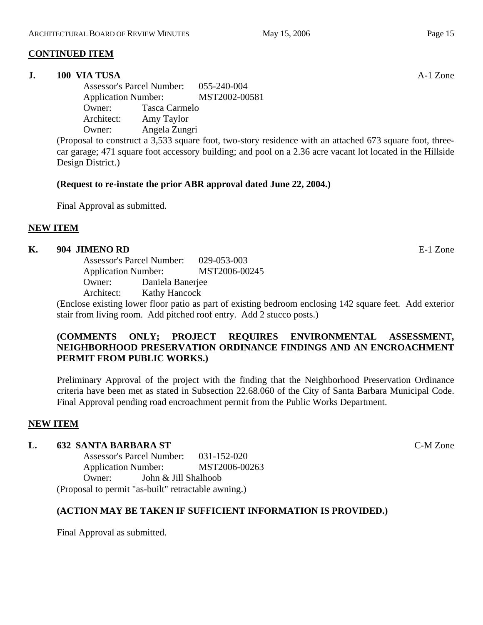# **CONTINUED ITEM**

#### **J. 100 VIA TUSA** A-1 Zone

Assessor's Parcel Number: 055-240-004 Application Number: MST2002-00581 Owner: Tasca Carmelo Architect: Amy Taylor Owner: Angela Zungri

(Proposal to construct a 3,533 square foot, two-story residence with an attached 673 square foot, threecar garage; 471 square foot accessory building; and pool on a 2.36 acre vacant lot located in the Hillside Design District.)

#### **(Request to re-instate the prior ABR approval dated June 22, 2004.)**

Final Approval as submitted.

## **NEW ITEM**

#### **K. 904 JIMENO RD** E-1 Zone

Assessor's Parcel Number: 029-053-003 Application Number: MST2006-00245 Owner: Daniela Banerjee Architect: Kathy Hancock

(Enclose existing lower floor patio as part of existing bedroom enclosing 142 square feet. Add exterior stair from living room. Add pitched roof entry. Add 2 stucco posts.)

# **(COMMENTS ONLY; PROJECT REQUIRES ENVIRONMENTAL ASSESSMENT, NEIGHBORHOOD PRESERVATION ORDINANCE FINDINGS AND AN ENCROACHMENT PERMIT FROM PUBLIC WORKS.)**

Preliminary Approval of the project with the finding that the Neighborhood Preservation Ordinance criteria have been met as stated in Subsection 22.68.060 of the City of Santa Barbara Municipal Code. Final Approval pending road encroachment permit from the Public Works Department.

#### **NEW ITEM**

#### **L. 632 SANTA BARBARA ST** C-M Zone

Assessor's Parcel Number: 031-152-020 Application Number: MST2006-00263 Owner: John & Jill Shalhoob (Proposal to permit "as-built" retractable awning.)

#### **(ACTION MAY BE TAKEN IF SUFFICIENT INFORMATION IS PROVIDED.)**

Final Approval as submitted.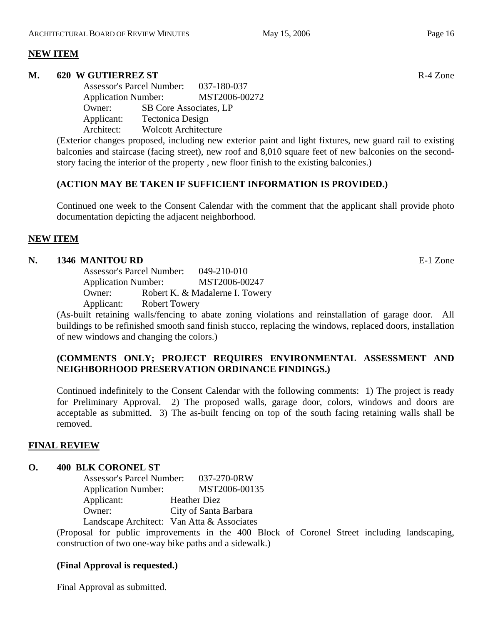## **NEW ITEM**

#### **M. 620 W GUTIERREZ ST** R-4 Zone

Assessor's Parcel Number: 037-180-037 Application Number: MST2006-00272 Owner: SB Core Associates, LP Applicant: Tectonica Design Architect: Wolcott Architecture

(Exterior changes proposed, including new exterior paint and light fixtures, new guard rail to existing balconies and staircase (facing street), new roof and 8,010 square feet of new balconies on the secondstory facing the interior of the property , new floor finish to the existing balconies.)

## **(ACTION MAY BE TAKEN IF SUFFICIENT INFORMATION IS PROVIDED.)**

Continued one week to the Consent Calendar with the comment that the applicant shall provide photo documentation depicting the adjacent neighborhood.

# **NEW ITEM**

#### **N. 1346 MANITOU RD** E-1 Zone

Assessor's Parcel Number: 049-210-010 Application Number: MST2006-00247 Owner: Robert K. & Madalerne I. Towery Applicant: Robert Towery

(As-built retaining walls/fencing to abate zoning violations and reinstallation of garage door. All buildings to be refinished smooth sand finish stucco, replacing the windows, replaced doors, installation of new windows and changing the colors.)

# **(COMMENTS ONLY; PROJECT REQUIRES ENVIRONMENTAL ASSESSMENT AND NEIGHBORHOOD PRESERVATION ORDINANCE FINDINGS.)**

Continued indefinitely to the Consent Calendar with the following comments: 1) The project is ready for Preliminary Approval. 2) The proposed walls, garage door, colors, windows and doors are acceptable as submitted. 3) The as-built fencing on top of the south facing retaining walls shall be removed.

#### **FINAL REVIEW**

#### **O. 400 BLK CORONEL ST**

Assessor's Parcel Number: 037-270-0RW Application Number: MST2006-00135 Applicant: Heather Diez Owner: City of Santa Barbara Landscape Architect: Van Atta & Associates

(Proposal for public improvements in the 400 Block of Coronel Street including landscaping, construction of two one-way bike paths and a sidewalk.)

# **(Final Approval is requested.)**

Final Approval as submitted.